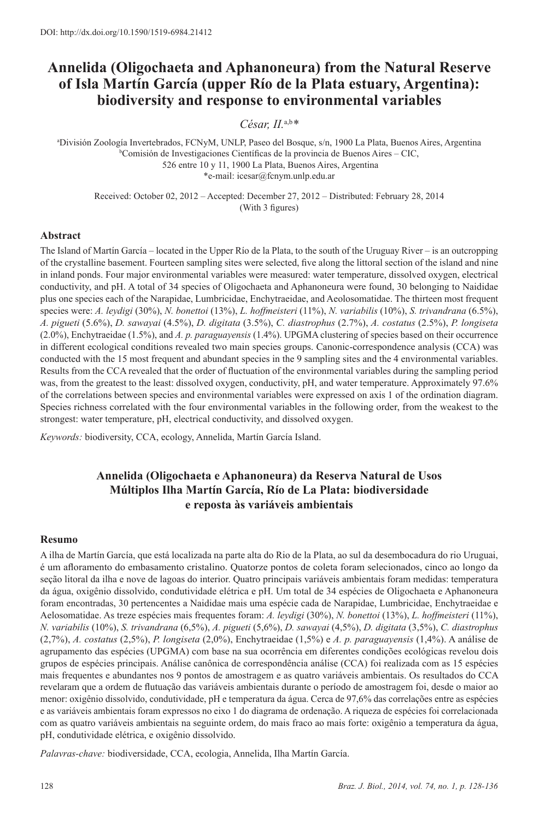# **Annelida (Oligochaeta and Aphanoneura) from the Natural Reserve of Isla Martín García (upper Río de la Plata estuary, Argentina): biodiversity and response to environmental variables**

*César, II.*a,b*\**

a División Zoología Invertebrados, FCNyM, UNLP, Paseo del Bosque, s/n, 1900 La Plata, Buenos Aires, Argentina b Comisión de Investigaciones Científicas de la provincia de Buenos Aires – CIC, 526 entre 10 y 11, 1900 La Plata, Buenos Aires, Argentina \*e-mail: icesar@fcnym.unlp.edu.ar

Received: October 02, 2012 – Accepted: December 27, 2012 – Distributed: February 28, 2014 (With 3 figures)

## **Abstract**

The Island of Martín García – located in the Upper Río de la Plata, to the south of the Uruguay River – is an outcropping of the crystalline basement. Fourteen sampling sites were selected, five along the littoral section of the island and nine in inland ponds. Four major environmental variables were measured: water temperature, dissolved oxygen, electrical conductivity, and pH. A total of 34 species of Oligochaeta and Aphanoneura were found, 30 belonging to Naididae plus one species each of the Narapidae, Lumbricidae, Enchytraeidae, and Aeolosomatidae. The thirteen most frequent species were: *A. leydigi* (30%), *N. bonettoi* (13%), *L. hoffmeisteri* (11%), *N. variabilis* (10%), *S. trivandrana* (6.5%), *A. pigueti* (5.6%), *D. sawayai* (4.5%), *D. digitata* (3.5%), *C. diastrophus* (2.7%), *A. costatus* (2.5%), *P. longiseta* (2.0%), Enchytraeidae (1.5%), and *A. p. paraguayensis* (1.4%). UPGMA clustering of species based on their occurrence in different ecological conditions revealed two main species groups. Canonic-correspondence analysis (CCA) was conducted with the 15 most frequent and abundant species in the 9 sampling sites and the 4 environmental variables. Results from the CCA revealed that the order of fluctuation of the environmental variables during the sampling period was, from the greatest to the least: dissolved oxygen, conductivity, pH, and water temperature. Approximately 97.6% of the correlations between species and environmental variables were expressed on axis 1 of the ordination diagram. Species richness correlated with the four environmental variables in the following order, from the weakest to the strongest: water temperature, pH, electrical conductivity, and dissolved oxygen.

*Keywords:* biodiversity, CCA, ecology, Annelida, Martín García Island.

# **Annelida (Oligochaeta e Aphanoneura) da Reserva Natural de Usos Múltiplos Ilha Martín García, Río de La Plata: biodiversidade e reposta às variáveis ambientais**

#### **Resumo**

A ilha de Martín García, que está localizada na parte alta do Rio de la Plata, ao sul da desembocadura do rio Uruguai, é um afloramento do embasamento cristalino. Quatorze pontos de coleta foram selecionados, cinco ao longo da seção litoral da ilha e nove de lagoas do interior. Quatro principais variáveis ambientais foram medidas: temperatura da água, oxigênio dissolvido, condutividade elétrica e pH. Um total de 34 espécies de Oligochaeta e Aphanoneura foram encontradas, 30 pertencentes a Naididae mais uma espécie cada de Narapidae, Lumbricidae, Enchytraeidae e Aelosomatidae. As treze espécies mais frequentes foram: *A. leydigi* (30%), *N. bonettoi* (13%), *L. hoffmeisteri* (11%), *N. variabilis* (10%), *S. trivandrana* (6,5%), *A. pigueti* (5,6%), *D. sawayai* (4,5%), *D. digitata* (3,5%), *C. diastrophus* (2,7%), *A. costatus* (2,5%), *P. longiseta* (2,0%), Enchytraeidae (1,5%) e *A. p. paraguayensis* (1,4%). A análise de agrupamento das espécies (UPGMA) com base na sua ocorrência em diferentes condições ecológicas revelou dois grupos de espécies principais. Análise canônica de correspondência análise (CCA) foi realizada com as 15 espécies mais frequentes e abundantes nos 9 pontos de amostragem e as quatro variáveis ambientais. Os resultados do CCA revelaram que a ordem de flutuação das variáveis ambientais durante o período de amostragem foi, desde o maior ao menor: oxigênio dissolvido, condutividade, pH e temperatura da água. Cerca de 97,6% das correlações entre as espécies e as variáveis ambientais foram expressos no eixo 1 do diagrama de ordenação. A riqueza de espécies foi correlacionada com as quatro variáveis ambientais na seguinte ordem, do mais fraco ao mais forte: oxigênio a temperatura da água, pH, condutividade elétrica, e oxigênio dissolvido.

*Palavras-chave:* biodiversidade, CCA, ecologia, Annelida, Ilha Martín García.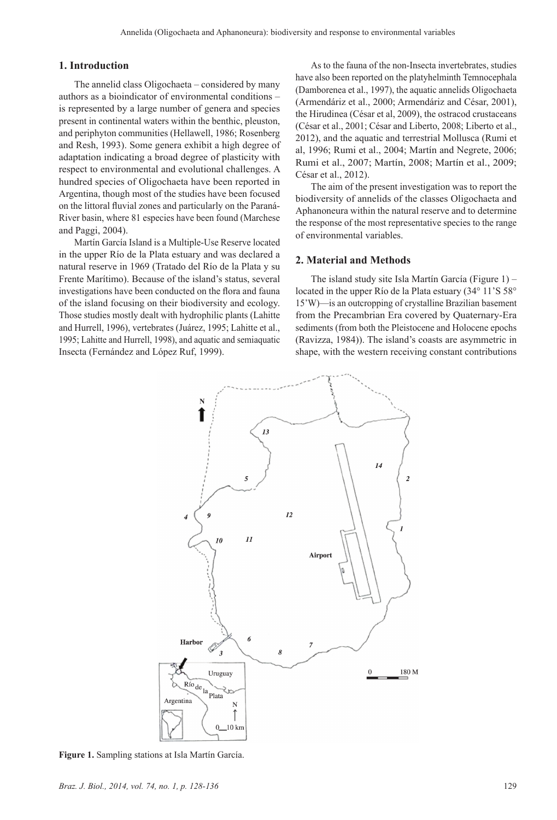#### **1. Introduction**

The annelid class Oligochaeta – considered by many authors as a bioindicator of environmental conditions – is represented by a large number of genera and species present in continental waters within the benthic, pleuston, and periphyton communities (Hellawell, 1986; Rosenberg and Resh, 1993). Some genera exhibit a high degree of adaptation indicating a broad degree of plasticity with respect to environmental and evolutional challenges. A hundred species of Oligochaeta have been reported in Argentina, though most of the studies have been focused on the littoral fluvial zones and particularly on the Paraná-River basin, where 81 especies have been found (Marchese and Paggi, 2004).

Martín García Island is a Multiple-Use Reserve located in the upper Río de la Plata estuary and was declared a natural reserve in 1969 (Tratado del Río de la Plata y su Frente Marítimo). Because of the island's status, several investigations have been conducted on the flora and fauna of the island focusing on their biodiversity and ecology. Those studies mostly dealt with hydrophilic plants (Lahitte and Hurrell, 1996), vertebrates (Juárez, 1995; Lahitte et al., 1995; Lahitte and Hurrell, 1998), and aquatic and semiaquatic Insecta (Fernández and López Ruf, 1999).

As to the fauna of the non-Insecta invertebrates, studies have also been reported on the platyhelminth Temnocephala (Damborenea et al., 1997), the aquatic annelids Oligochaeta (Armendáriz et al., 2000; Armendáriz and César, 2001), the Hirudinea (César et al, 2009), the ostracod crustaceans (César et al., 2001; César and Liberto, 2008; Liberto et al., 2012), and the aquatic and terrestrial Mollusca (Rumi et al, 1996; Rumi et al., 2004; Martín and Negrete, 2006; Rumi et al., 2007; Martín, 2008; Martín et al., 2009; César et al., 2012).

The aim of the present investigation was to report the biodiversity of annelids of the classes Oligochaeta and Aphanoneura within the natural reserve and to determine the response of the most representative species to the range of environmental variables.

### **2. Material and Methods**

The island study site Isla Martín García (Figure 1) – located in the upper Río de la Plata estuary (34° 11'S 58° 15'W)—is an outcropping of crystalline Brazilian basement from the Precambrian Era covered by Quaternary-Era sediments (from both the Pleistocene and Holocene epochs (Ravizza, 1984)). The island's coasts are asymmetric in shape, with the western receiving constant contributions



**Figure 1.** Sampling stations at Isla Martín García.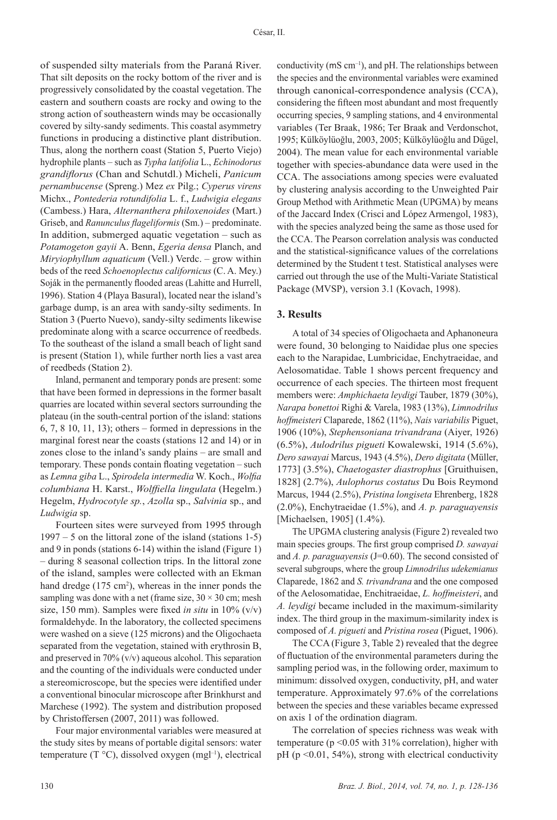of suspended silty materials from the Paraná River. That silt deposits on the rocky bottom of the river and is progressively consolidated by the coastal vegetation. The eastern and southern coasts are rocky and owing to the strong action of southeastern winds may be occasionally covered by silty-sandy sediments. This coastal asymmetry functions in producing a distinctive plant distribution. Thus, along the northern coast (Station 5, Puerto Viejo) hydrophile plants – such as *Typha latifolia* L., *Echinodorus grandiflorus* (Chan and Schutdl.) Micheli, *Panicum pernambucense* (Spreng.) Mez *ex* Pilg.; *Cyperus virens* Michx., *Pontederia rotundifolia* L. f., *Ludwigia elegans* (Cambess.) Hara, *Alternanthera philoxenoides* (Mart.) Griseb, and *Ranunculus flageliformis* (Sm.) – predominate. In addition, submerged aquatic vegetation – such as *Potamogeton gayii* A. Benn, *Egeria densa* Planch, and *Miryiophyllum aquaticum* (Vell.) Verdc. – grow within beds of the reed *Schoenoplectus californicus* (C. A. Mey.) Soják in the permanently flooded areas (Lahitte and Hurrell, 1996). Station 4 (Playa Basural), located near the island's garbage dump, is an area with sandy-silty sediments. In Station 3 (Puerto Nuevo), sandy-silty sediments likewise predominate along with a scarce occurrence of reedbeds. To the southeast of the island a small beach of light sand is present (Station 1), while further north lies a vast area of reedbeds (Station 2).

Inland, permanent and temporary ponds are present: some that have been formed in depressions in the former basalt quarries are located within several sectors surrounding the plateau (in the south-central portion of the island: stations 6, 7, 8 10, 11, 13); others – formed in depressions in the marginal forest near the coasts (stations 12 and 14) or in zones close to the inland's sandy plains – are small and temporary. These ponds contain floating vegetation – such as *Lemna giba* L., *Spirodela intermedia* W. Koch., *Wolfia columbiana* H. Karst., *Wolffiella lingulata* (Hegelm.) Hegelm, *Hydrocotyle sp.*, *Azolla* sp., *Salvinia* sp., and *Ludwigia* sp.

Fourteen sites were surveyed from 1995 through 1997 – 5 on the littoral zone of the island (stations 1-5) and 9 in ponds (stations 6-14) within the island (Figure 1) – during 8 seasonal collection trips. In the littoral zone of the island, samples were collected with an Ekman hand dredge (175 cm<sup>2</sup>), whereas in the inner ponds the sampling was done with a net (frame size,  $30 \times 30$  cm; mesh size, 150 mm). Samples were fixed *in situ* in 10% (v/v) formaldehyde. In the laboratory, the collected specimens were washed on a sieve (125 microns) and the Oligochaeta separated from the vegetation, stained with erythrosin B, and preserved in 70% (v/v) aqueous alcohol. This separation and the counting of the individuals were conducted under a stereomicroscope, but the species were identified under a conventional binocular microscope after Brinkhurst and Marchese (1992). The system and distribution proposed by Christoffersen (2007, 2011) was followed.

Four major environmental variables were measured at the study sites by means of portable digital sensors: water temperature (T  $^{\circ}$ C), dissolved oxygen (mgl<sup>-1</sup>), electrical conductivity ( $\text{mS cm}^{-1}$ ), and  $\text{pH}$ . The relationships between the species and the environmental variables were examined through canonical-correspondence analysis (CCA), considering the fifteen most abundant and most frequently occurring species, 9 sampling stations, and 4 environmental variables (Ter Braak, 1986; Ter Braak and Verdonschot, 1995; Külköylüoğlu, 2003, 2005; Külköylüoğlu and Dügel, 2004). The mean value for each environmental variable together with species-abundance data were used in the CCA. The associations among species were evaluated by clustering analysis according to the Unweighted Pair Group Method with Arithmetic Mean (UPGMA) by means of the Jaccard Index (Crisci and López Armengol, 1983), with the species analyzed being the same as those used for the CCA. The Pearson correlation analysis was conducted and the statistical-significance values of the correlations determined by the Student t test. Statistical analyses were carried out through the use of the Multi-Variate Statistical Package (MVSP), version 3.1 (Kovach, 1998).

#### **3. Results**

A total of 34 species of Oligochaeta and Aphanoneura were found, 30 belonging to Naididae plus one species each to the Narapidae, Lumbricidae, Enchytraeidae, and Aelosomatidae. Table 1 shows percent frequency and occurrence of each species. The thirteen most frequent members were: *Amphichaeta leydigi* Tauber, 1879 (30%), *Narapa bonettoi* Righi & Varela, 1983 (13%), *Limnodrilus hoffmeisteri* Claparede, 1862 (11%), *Nais variabilis* Piguet, 1906 (10%), *Stephensoniana trivandrana* (Aiyer, 1926) (6.5%), *Aulodrilus pigueti* Kowalewski, 1914 (5.6%), *Dero sawayai* Marcus, 1943 (4.5%), *Dero digitata* (Müller, 1773] (3.5%), *Chaetogaster diastrophus* [Gruithuisen, 1828] (2.7%), *Aulophorus costatus* Du Bois Reymond Marcus, 1944 (2.5%), *Pristina longiseta* Ehrenberg, 1828 (2.0%), Enchytraeidae (1.5%), and *A. p. paraguayensis* [Michaelsen, 1905] (1.4%).

The UPGMA clustering analysis (Figure 2) revealed two main species groups. The first group comprised *D. sawayai* and *A. p. paraguayensis* (J=0.60). The second consisted of several subgroups, where the group *Limnodrilus udekemianus* Claparede, 1862 and *S. trivandrana* and the one composed of the Aelosomatidae, Enchitraeidae, *L. hoffmeisteri*, and *A. leydigi* became included in the maximum-similarity index. The third group in the maximum-similarity index is composed of *A. pigueti* and *Pristina rosea* (Piguet, 1906).

The CCA (Figure 3, Table 2) revealed that the degree of fluctuation of the environmental parameters during the sampling period was, in the following order, maximum to minimum: dissolved oxygen, conductivity, pH, and water temperature. Approximately 97.6% of the correlations between the species and these variables became expressed on axis 1 of the ordination diagram.

The correlation of species richness was weak with temperature ( $p \le 0.05$  with 31% correlation), higher with pH ( $p \le 0.01$ , 54%), strong with electrical conductivity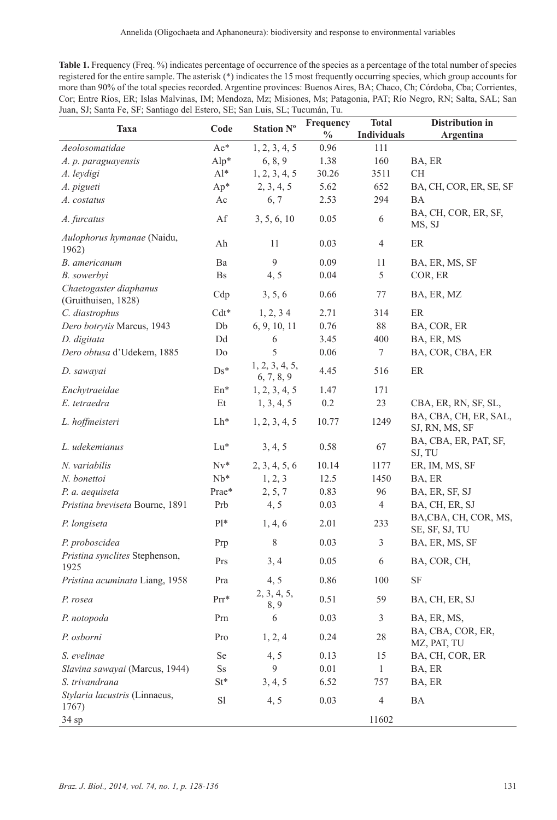| <b>Table 1.</b> Frequency (Freq. %) indicates percentage of occurrence of the species as a percentage of the total number of species |
|--------------------------------------------------------------------------------------------------------------------------------------|
| registered for the entire sample. The asterisk (*) indicates the 15 most frequently occurring species, which group accounts for      |
| more than 90% of the total species recorded. Argentine provinces: Buenos Aires, BA; Chaco, Ch; Córdoba, Cba; Corrientes,             |
| Cor; Entre Ríos, ER; Islas Malvinas, IM; Mendoza, Mz; Misiones, Ms; Patagonia, PAT; Río Negro, RN; Salta, SAL; San                   |
| Juan, SJ; Santa Fe, SF; Santiago del Estero, SE; San Luis, SL; Tucumán, Tu.                                                          |

| <b>Taxa</b>                                   | Code      | Station N°                   | Frequency     | <b>Total</b>       | <b>Distribution</b> in                  |
|-----------------------------------------------|-----------|------------------------------|---------------|--------------------|-----------------------------------------|
|                                               |           |                              | $\frac{0}{0}$ | <b>Individuals</b> | Argentina                               |
| Aeolosomatidae                                | Ae*       | 1, 2, 3, 4, 5                | 0.96          | 111                |                                         |
| A. p. paraguayensis                           | $Alp*$    | 6, 8, 9                      | 1.38          | 160                | BA, ER                                  |
| A. leydigi                                    | $Al*$     | 1, 2, 3, 4, 5                | 30.26         | 3511               | <b>CH</b>                               |
| A. pigueti                                    | $Ap*$     | 2, 3, 4, 5                   | 5.62          | 652                | BA, CH, COR, ER, SE, SF                 |
| A. costatus                                   | Ac        | 6, 7                         | 2.53          | 294                | <b>BA</b>                               |
| A. furcatus                                   | Af        | 3, 5, 6, 10                  | 0.05          | $\sqrt{6}$         | BA, CH, COR, ER, SF,<br>MS, SJ          |
| Aulophorus hymanae (Naidu,<br>1962)           | Ah        | 11                           | 0.03          | $\overline{4}$     | ER                                      |
| B. americanum                                 | Ba        | 9                            | 0.09          | 11                 | BA, ER, MS, SF                          |
| B. sowerbyi                                   | <b>Bs</b> | 4, 5                         | 0.04          | $\sqrt{5}$         | COR, ER                                 |
| Chaetogaster diaphanus<br>(Gruithuisen, 1828) | Cdp       | 3, 5, 6                      | 0.66          | 77                 | BA, ER, MZ                              |
| C. diastrophus                                | $Cdt^*$   | 1, 2, 34                     | 2.71          | 314                | ER                                      |
| Dero botrytis Marcus, 1943                    | Db        | 6, 9, 10, 11                 | 0.76          | 88                 | BA, COR, ER                             |
| D. digitata                                   | Dd        | 6                            | 3.45          | 400                | BA, ER, MS                              |
| Dero obtusa d'Udekem, 1885                    | Do        | 5                            | 0.06          | 7                  | BA, COR, CBA, ER                        |
| D. sawayai                                    | $Ds*$     | 1, 2, 3, 4, 5,<br>6, 7, 8, 9 | 4.45          | 516                | ER                                      |
| Enchytraeidae                                 | En*       | 1, 2, 3, 4, 5                | 1.47          | 171                |                                         |
| E. tetraedra                                  | Et        | 1, 3, 4, 5                   | 0.2           | 23                 | CBA, ER, RN, SF, SL,                    |
| L. hoffmeisteri                               | $Lh*$     | 1, 2, 3, 4, 5                | 10.77         | 1249               | BA, CBA, CH, ER, SAL,<br>SJ, RN, MS, SF |
| L. udekemianus                                | $Lu^*$    | 3, 4, 5                      | 0.58          | 67                 | BA, CBA, ER, PAT, SF,<br>SJ, TU         |
| N. variabilis                                 | $Nv^*$    | 2, 3, 4, 5, 6                | 10.14         | 1177               | ER, IM, MS, SF                          |
| N. bonettoi                                   | $Nb*$     | 1, 2, 3                      | 12.5          | 1450               | BA, ER                                  |
| P. a. aequiseta                               | Prae*     | 2, 5, 7                      | 0.83          | 96                 | BA, ER, SF, SJ                          |
| Pristina breviseta Bourne, 1891               | Prb       | 4, 5                         | 0.03          | $\overline{4}$     | BA, CH, ER, SJ                          |
| P. longiseta                                  | $Pl*$     | 1, 4, 6                      | 2.01          | 233                | BA,CBA, CH, COR, MS,<br>SE, SF, SJ, TU  |
| P. proboscidea                                | Prp       | 8                            | 0.03          | 3                  | BA, ER, MS, SF                          |
| Pristina synclites Stephenson,<br>1925        | Prs       | 3, 4                         | 0.05          | 6                  | BA, COR, CH,                            |
| Pristina acuminata Liang, 1958                | Pra       | 4, 5                         | 0.86          | 100                | <b>SF</b>                               |
| P. rosea                                      | $Prr*$    | 2, 3, 4, 5,<br>8,9           | 0.51          | 59                 | BA, CH, ER, SJ                          |
| P. notopoda                                   | Prn       | $\sqrt{6}$                   | 0.03          | 3                  | BA, ER, MS,                             |
| P. osborni                                    | Pro       | 1, 2, 4                      | 0.24          | 28                 | BA, CBA, COR, ER,<br>MZ, PAT, TU        |
| S. evelinae                                   | Se        | 4,5                          | 0.13          | 15                 | BA, CH, COR, ER                         |
| Slavina sawayai (Marcus, 1944)                | Ss        | 9                            | 0.01          | $\mathbf{1}$       | BA, ER                                  |
| S. trivandrana                                | $St*$     | 3, 4, 5                      | 6.52          | 757                | BA, ER                                  |
| Stylaria lacustris (Linnaeus,<br>1767)        | S1        | 4, 5                         | 0.03          | $\overline{4}$     | BA                                      |
| 34 sp                                         |           |                              |               | 11602              |                                         |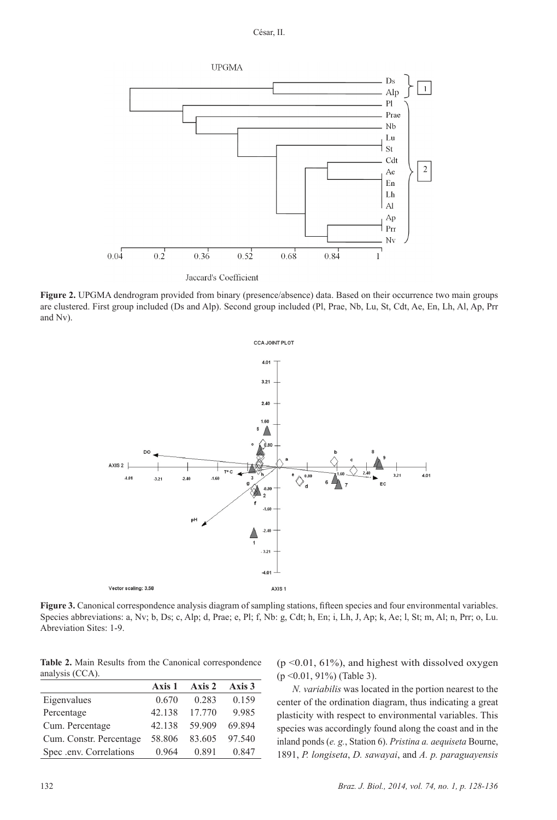César, II.



**Figure 2.** UPGMA dendrogram provided from binary (presence/absence) data. Based on their occurrence two main groups are clustered. First group included (Ds and Alp). Second group included (Pl, Prae, Nb, Lu, St, Cdt, Ae, En, Lh, Al, Ap, Prr and Nv).



**Figure 3.** Canonical correspondence analysis diagram of sampling stations, fifteen species and four environmental variables. Species abbreviations: a, Nv; b, Ds; c, Alp; d, Prae; e, Pl; f, Nb: g, Cdt; h, En; i, Lh, J, Ap; k, Ae; l, St; m, Al; n, Prr; o, Lu. Abreviation Sites: 1-9.

**Table 2.** Main Results from the Canonical correspondence analysis (CCA).

|                         | Axis 1 | Axis 2 | Axis 3 |
|-------------------------|--------|--------|--------|
| Eigenvalues             | 0.670  | 0.283  | 0.159  |
| Percentage              | 42.138 | 17.770 | 9.985  |
| Cum. Percentage         | 42.138 | 59 909 | 69.894 |
| Cum. Constr. Percentage | 58.806 | 83.605 | 97.540 |
| Spec .env. Correlations | 0.964  | 0.891  | 0.847  |

 $(p \le 0.01, 61\%)$ , and highest with dissolved oxygen (p <0.01, 91%) (Table 3).

*N. variabilis* was located in the portion nearest to the center of the ordination diagram, thus indicating a great plasticity with respect to environmental variables. This species was accordingly found along the coast and in the inland ponds (*e. g.*, Station 6). *Pristina a. aequiseta* Bourne, 1891, *P. longiseta*, *D. sawayai*, and *A. p. paraguayensis*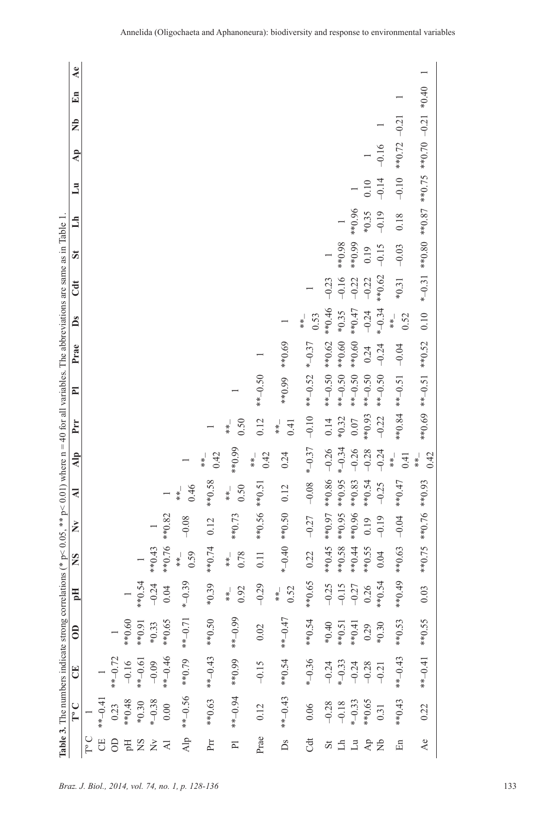|                                  |             |                        | <b>Table 3.</b> The numbers indicate strong correlations (* $p < 0.05$ , ** $p < 0.01$ ) where $n = 40$ for all variables. The abbreviations are same as in Table 1. |             |                       |                      |             |                        |                 |                       |           |                     |          |                      |              |              |                                          |                         |    |                |
|----------------------------------|-------------|------------------------|----------------------------------------------------------------------------------------------------------------------------------------------------------------------|-------------|-----------------------|----------------------|-------------|------------------------|-----------------|-----------------------|-----------|---------------------|----------|----------------------|--------------|--------------|------------------------------------------|-------------------------|----|----------------|
|                                  | $\Gamma$ °C | U                      | ට්                                                                                                                                                                   | Eq          | SN                    | $\tilde{\mathbf{z}}$ | ₹           | $\mathbf{A}$ lp        | Prr             | E                     | Prae      | Å                   | đ        | $\tilde{\mathbf{z}}$ | $\mathbb{I}$ | $\mathbf{H}$ | $\mathbf{A}$ p                           | $\overline{\mathbf{z}}$ | En | $\mathbf{A}$ e |
| $T^{\circ}$ C                    |             |                        |                                                                                                                                                                      |             |                       |                      |             |                        |                 |                       |           |                     |          |                      |              |              |                                          |                         |    |                |
| U                                | $**-0.41$   |                        |                                                                                                                                                                      |             |                       |                      |             |                        |                 |                       |           |                     |          |                      |              |              |                                          |                         |    |                |
| $\Theta$                         | 0.23        | $**-0.72$              |                                                                                                                                                                      |             |                       |                      |             |                        |                 |                       |           |                     |          |                      |              |              |                                          |                         |    |                |
| Hq                               | $**0.48$    | $-0.16$                | $*0.60$                                                                                                                                                              |             |                       |                      |             |                        |                 |                       |           |                     |          |                      |              |              |                                          |                         |    |                |
| $^{2}N$                          | $*0.30$     | $**-0.61$              | $**0.91$                                                                                                                                                             | $**0.54$    |                       |                      |             |                        |                 |                       |           |                     |          |                      |              |              |                                          |                         |    |                |
| $\check{\check{\mathsf{z}}}$     | $* -0.38$   | $-0.09$                | $*0.33$                                                                                                                                                              | $-0.24$     | $**0.43$              |                      |             |                        |                 |                       |           |                     |          |                      |              |              |                                          |                         |    |                |
| $\gtrsim$                        | 0.00        | $**-0.46$              | $**0.65$                                                                                                                                                             | 0.04        | **0.76                | $**0.82$             |             |                        |                 |                       |           |                     |          |                      |              |              |                                          |                         |    |                |
| Alp                              | $-0.56$     | $**0.79$               | $**-0.71$                                                                                                                                                            | $*-0.39$    | 0.59<br>$\frac{1}{1}$ | $-0.08$              | 0.46<br>$*$ |                        |                 |                       |           |                     |          |                      |              |              |                                          |                         |    |                |
| Prf                              |             | **0.50 ** -0.43 **0.50 |                                                                                                                                                                      | $*0.39$     | $**0.74$              | 0.12                 | $**0.58$    | 0.42<br>$\frac{1}{16}$ |                 |                       |           |                     |          |                      |              |              |                                          |                         |    |                |
| $\overline{P}$                   | $**-0.94$   | $**0.99$               | $66.0$ $\rightarrow$                                                                                                                                                 | 0.92<br>**  | 0.78<br>$\frac{1}{1}$ | $**0.73$             | 0.50<br>$*$ | $**0.99$               | 0.50<br>ا<br>** |                       |           |                     |          |                      |              |              |                                          |                         |    |                |
| Prae                             | 0.12        | $-0.15$                | 0.02                                                                                                                                                                 | $-0.29$     | 0.11                  | **0.56 **0.51        |             | 0.42<br>$*$            | 0.12            | $**-0.50$             |           |                     |          |                      |              |              |                                          |                         |    |                |
| Ds                               | $**-0.43$   | $**0.54$               | $**-0.47$                                                                                                                                                            | 0.52<br>$*$ | $* -0.40$             | $**0.50$             | 0.12        | 0.24                   | 0.41<br>ا<br>** | **0.99                | $*0.69$   |                     |          |                      |              |              |                                          |                         |    |                |
| đ                                | 0.06        | $* -0.36$              | $*80.54$                                                                                                                                                             | $**0.65$    | 0.22                  | $-0.27$              | $-0.08$     | $*-0.37$               | $-0.10$         | $***-0.52$            | $*-0.37$  | 0.53<br>$*$         |          |                      |              |              |                                          |                         |    |                |
| 55                               | $-0.28$     | $-0.24$                | $*0.40$                                                                                                                                                              | $-0.25$     | $**0.45$              | **0.97               | **0.86      | $-0.26$                | 0.14            | $**-0.50$             | **0.62    | $**0.46$            | $-0.23$  |                      |              |              |                                          |                         |    |                |
| $\mathbb H$                      | $-0.18$     | $* -0.33$              | $*80.51$                                                                                                                                                             | $-0.15$     | **0.58                | **0.95               | **0.95      | $*-0.34$               | $*0.32$         | $**-0.50$             | $***0.60$ | $*0.35$             | $-0.16$  | **0.98               |              |              |                                          |                         |    |                |
| $\ensuremath{\mathbb{L}}\xspace$ | $* -0.33$   | $-0.24$                | $**0.41$                                                                                                                                                             | $-0.27$     | $*80.44$              | **0.96               | $*80.83$    | $-0.26$                | $0.07\,$        | $**-0.50$             | $**0.60$  | $**0.47$            | $-0.22$  | $**0.99$             | $**0.96$     |              |                                          |                         |    |                |
| $\mathsf{A}\mathsf{p}$           | $**0.65$    | $-0.28$                | 0.29                                                                                                                                                                 | 0.26        | $**0.55$              | 0.19                 | $*80.54$    | $-0.28$                | **0.93          | $***-0.50$            | 0.24      | $-0.24$             | $-0.22$  | 0.19                 | $*0.35$      | 0.10         |                                          |                         |    |                |
| $\dot{z}$                        | 0.31        | $-0.21$                | $*0.30$                                                                                                                                                              | $**0.54$    | 0.04                  | $-0.19$              | $-0.25$     | $-0.24$                | $-0.22$         | $**-0.50$             | $-0.24$   | $*-0.34$            | $**0.62$ | $-0.15$              | $-0.19$      | $-0.14$      | $-0.16$                                  |                         |    |                |
| En                               | $**0.43$    | $**-0.43$              | $**0.53$                                                                                                                                                             | $67.0**$    | $*0.63$               | $-0.04$              | $**0.47$    | 0.41<br>—<br>**        | $**0.84$        | $**-0.51$             | $-0.04$   | 0.52<br>—<br>米<br>米 | $*0.31$  | $-0.03$              | 0.18         | $-0.10$      | $*0.72 - 0.21$                           |                         |    |                |
| Ae                               | 0.22        | **-0.41 **0.55         |                                                                                                                                                                      | 0.03        | $**0.75$              | **0.76 **0.93        |             | 0.42<br>)<br>*         |                 | **0.69 **-0.51 **0.52 |           | 0.10                |          |                      |              |              | *-0.31 **0.80 **0.87 **0.75 **0.70 +0.44 |                         |    |                |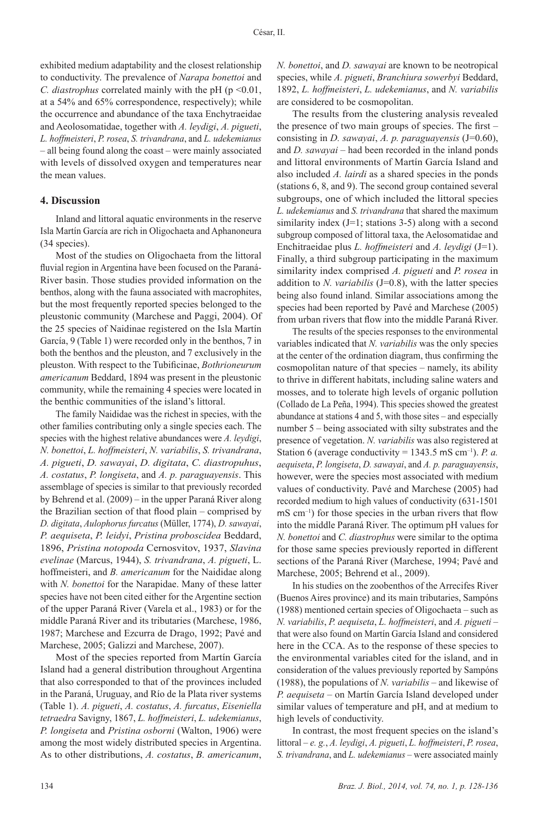exhibited medium adaptability and the closest relationship to conductivity. The prevalence of *Narapa bonettoi* and *C. diastrophus* correlated mainly with the pH (p <0.01, at a 54% and 65% correspondence, respectively); while the occurrence and abundance of the taxa Enchytraeidae and Aeolosomatidae, together with *A. leydigi*, *A. pigueti*, *L. hoffmeisteri*, *P. rosea*, *S. trivandrana*, and *L. udekemianus* – all being found along the coast – were mainly associated with levels of dissolved oxygen and temperatures near the mean values.

#### **4. Discussion**

Inland and littoral aquatic environments in the reserve Isla Martín García are rich in Oligochaeta and Aphanoneura (34 species).

Most of the studies on Oligochaeta from the littoral fluvial region in Argentina have been focused on the Paraná-River basin. Those studies provided information on the benthos, along with the fauna associated with macrophites, but the most frequently reported species belonged to the pleustonic community (Marchese and Paggi, 2004). Of the 25 species of Naidinae registered on the Isla Martín García, 9 (Table 1) were recorded only in the benthos, 7 in both the benthos and the pleuston, and 7 exclusively in the pleuston. With respect to the Tubificinae, *Bothrioneurum americanum* Beddard, 1894 was present in the pleustonic community, while the remaining 4 species were located in the benthic communities of the island's littoral.

The family Naididae was the richest in species, with the other families contributing only a single species each. The species with the highest relative abundances were *A. leydigi*, *N. bonettoi*, *L. hoffmeisteri*, *N. variabilis*, *S. trivandrana*, *A. pigueti*, *D. sawayai*, *D. digitata*, *C. diastropuhus*, *A. costatus*, *P. longiseta*, and *A. p. paraguayensis*. This assemblage of species is similar to that previously recorded by Behrend et al. (2009) – in the upper Paraná River along the Brazilian section of that flood plain – comprised by *D. digitata*, *Aulophorus furcatus* (Müller, 1774), *D. sawayai*, *P. aequiseta*, *P. leidyi*, *Pristina proboscidea* Beddard, 1896, *Pristina notopoda* Cernosvitov, 1937, *Slavina evelinae* (Marcus, 1944), *S. trivandrana*, *A. pigueti*, L. hoffmeisteri, and *B. americanum* for the Naididae along with *N. bonettoi* for the Narapidae. Many of these latter species have not been cited either for the Argentine section of the upper Paraná River (Varela et al., 1983) or for the middle Paraná River and its tributaries (Marchese, 1986, 1987; Marchese and Ezcurra de Drago, 1992; Pavé and Marchese, 2005; Galizzi and Marchese, 2007).

Most of the species reported from Martín García Island had a general distribution throughout Argentina that also corresponded to that of the provinces included in the Paraná, Uruguay, and Río de la Plata river systems (Table 1). *A. pigueti*, *A. costatus*, *A. furcatus*, *Eiseniella tetraedra* Savigny, 1867, *L. hoffmeisteri*, *L. udekemianus*, *P. longiseta* and *Pristina osborni* (Walton, 1906) were among the most widely distributed species in Argentina. As to other distributions, *A. costatus*, *B. americanum*, *N. bonettoi*, and *D. sawayai* are known to be neotropical species, while *A. pigueti*, *Branchiura sowerbyi* Beddard, 1892, *L. hoffmeisteri*, *L. udekemianus*, and *N. variabilis* are considered to be cosmopolitan.

The results from the clustering analysis revealed the presence of two main groups of species. The first – consisting in *D. sawayai*, *A. p. paraguayensis* (J=0.60), and *D. sawayai* – had been recorded in the inland ponds and littoral environments of Martín García Island and also included *A. lairdi* as a shared species in the ponds (stations 6, 8, and 9). The second group contained several subgroups, one of which included the littoral species *L. udekemianus* and *S. trivandrana* that shared the maximum similarity index (J=1; stations 3-5) along with a second subgroup composed of littoral taxa, the Aelosomatidae and Enchitraeidae plus *L. hoffmeisteri* and *A. leydigi* (J=1). Finally, a third subgroup participating in the maximum similarity index comprised *A. pigueti* and *P. rosea* in addition to *N. variabilis* (J=0.8), with the latter species being also found inland. Similar associations among the species had been reported by Pavé and Marchese (2005) from urban rivers that flow into the middle Paraná River.

The results of the species responses to the environmental variables indicated that *N. variabilis* was the only species at the center of the ordination diagram, thus confirming the cosmopolitan nature of that species – namely, its ability to thrive in different habitats, including saline waters and mosses, and to tolerate high levels of organic pollution (Collado de La Peña, 1994). This species showed the greatest abundance at stations 4 and 5, with those sites – and especially number 5 – being associated with silty substrates and the presence of vegetation. *N. variabilis* was also registered at Station 6 (average conductivity =  $1343.5$  mS cm<sup>-1</sup>). *P. a. aequiseta*, *P. longiseta*, *D. sawayai*, and *A. p. paraguayensis*, however, were the species most associated with medium values of conductivity. Pavé and Marchese (2005) had recorded medium to high values of conductivity (631-1501  $\text{mS cm}^{-1}$ ) for those species in the urban rivers that flow into the middle Paraná River. The optimum pH values for *N. bonettoi* and *C. diastrophus* were similar to the optima for those same species previously reported in different sections of the Paraná River (Marchese, 1994; Pavé and Marchese, 2005; Behrend et al., 2009).

In his studies on the zoobenthos of the Arrecifes River (Buenos Aires province) and its main tributaries, Sampóns (1988) mentioned certain species of Oligochaeta – such as *N. variabilis*, *P. aequiseta*, *L. hoffmeisteri*, and *A. pigueti* – that were also found on Martín García Island and considered here in the CCA. As to the response of these species to the environmental variables cited for the island, and in consideration of the values previously reported by Sampóns (1988), the populations of *N. variabilis* – and likewise of *P. aequiseta* – on Martín García Island developed under similar values of temperature and pH, and at medium to high levels of conductivity.

In contrast, the most frequent species on the island's littoral – *e. g.*, *A. leydigi*, *A. pigueti*, *L. hoffmeisteri*, *P. rosea*, *S. trivandrana*, and *L. udekemianus* – were associated mainly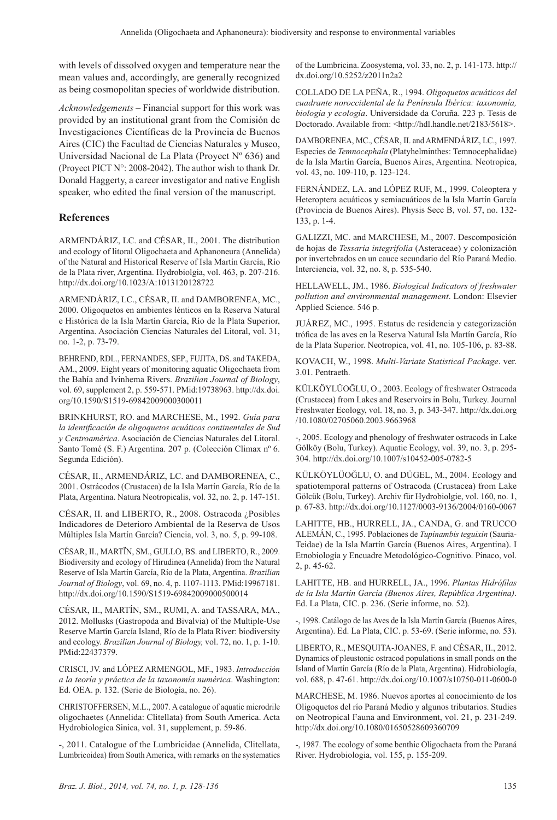with levels of dissolved oxygen and temperature near the mean values and, accordingly, are generally recognized as being cosmopolitan species of worldwide distribution.

*Acknowledgements* – Financial support for this work was provided by an institutional grant from the Comisión de Investigaciones Científicas de la Provincia de Buenos Aires (CIC) the Facultad de Ciencias Naturales y Museo, Universidad Nacional de La Plata (Proyect Nº 636) and (Proyect PICT N°: 2008-2042). The author wish to thank Dr. Donald Haggerty, a career investigator and native English speaker, who edited the final version of the manuscript.

#### **References**

ARMENDÁRIZ, LC. and CÉSAR, II., 2001. The distribution and ecology of litoral Oligochaeta and Aphanoneura (Annelida) of the Natural and Historical Reserve of Isla Martín García, Río de la Plata river, Argentina. Hydrobiolgia, vol. 463, p. 207-216. http://dx.doi.org/10.1023/A:1013120128722

ARMENDÁRIZ, LC., CÉSAR, II. and DAMBORENEA, MC., 2000. Oligoquetos en ambientes lénticos en la Reserva Natural e Histórica de la Isla Martín García, Río de la Plata Superior, Argentina. Asociación Ciencias Naturales del Litoral, vol. 31, no. 1-2, p. 73-79.

BEHREND, RDL., FERNANDES, SEP., FUJITA, DS. and TAKEDA, AM., 2009. Eight years of monitoring aquatic Oligochaeta from the Bahía and Ivinhema Rivers. *Brazilian Journal of Biology*, vol. 69, supplement 2, p. 559-571. PMid:19738963. http://dx.doi. org/10.1590/S1519-69842009000300011

BRINKHURST, RO. and MARCHESE, M., 1992. *Guía para la identificación de oligoquetos acuáticos continentales de Sud y Centroamérica*. Asociación de Ciencias Naturales del Litoral. Santo Tomé (S. F.) Argentina. 207 p. (Colección Climax nº 6. Segunda Edición).

CÉSAR, II., ARMENDÁRIZ, LC. and DAMBORENEA, C., 2001. Ostrácodos (Crustacea) de la Isla Martín García, Río de la Plata, Argentina. Natura Neotropicalis, vol. 32, no. 2, p. 147-151.

CÉSAR, II. and LIBERTO, R., 2008. Ostracoda ¿Posibles Indicadores de Deterioro Ambiental de la Reserva de Usos Múltiples Isla Martín García? Ciencia, vol. 3, no. 5, p. 99-108.

CÉSAR, II., MARTÏN, SM., GULLO, BS. and LIBERTO, R., 2009. Biodiversity and ecology of Hirudinea (Annelida) from the Natural Reserve of Isla Martín García, Río de la Plata, Argentina. *Brazilian Journal of Biology*, vol. 69, no. 4, p. 1107-1113. PMid:19967181. http://dx.doi.org/10.1590/S1519-69842009000500014

CÉSAR, II., MARTÍN, SM., RUMI, A. and TASSARA, MA., 2012. Mollusks (Gastropoda and Bivalvia) of the Multiple-Use Reserve Martín García Island, Río de la Plata River: biodiversity and ecology. *Brazilian Journal of Biology,* vol. 72, no. 1, p. 1-10. PMid:22437379.

CRISCI, JV. and LÓPEZ ARMENGOL, MF., 1983. *Introducción a la teoría y práctica de la taxonomía numérica*. Washington: Ed. OEA. p. 132. (Serie de Biología, no. 26).

CHRISTOFFERSEN, M.L., 2007. A catalogue of aquatic microdrile oligochaetes (Annelida: Clitellata) from South America. Acta Hydrobiologica Sinica, vol. 31, supplement, p. 59-86.

-, 2011. Catalogue of the Lumbricidae (Annelida, Clitellata, Lumbricoidea) from South America, with remarks on the systematics of the Lumbricina. Zoosystema, vol. 33, no. 2, p. 141-173. http:// dx.doi.org/10.5252/z2011n2a2

COLLADO DE LA PEÑA, R., 1994. *Oligoquetos acuáticos del cuadrante noroccidental de la Península Ibérica: taxonomía, biología y ecología*. Universidade da Coruña. 223 p. Tesis de Doctorado. Available from: <http://hdl.handle.net/2183/5618>.

DAMBORENEA, MC., CÉSAR, II. and ARMENDÁRIZ, LC., 1997. Especies de *Temnocephala* (Platyhelminthes: Temnocephalidae) de la Isla Martín García, Buenos Aires, Argentina. Neotropica, vol. 43, no. 109-110, p. 123-124.

FERNÁNDEZ, LA. and LÓPEZ RUF, M., 1999. Coleoptera y Heteroptera acuáticos y semiacuáticos de la Isla Martín García (Provincia de Buenos Aires). Physis Secc B, vol. 57, no. 132- 133, p. 1-4.

GALIZZI, MC. and MARCHESE, M., 2007. Descomposición de hojas de *Tessaria integrifolia* (Asteraceae) y colonización por invertebrados en un cauce secundario del Río Paraná Medio. Interciencia, vol. 32, no. 8, p. 535-540.

HELLAWELL, JM., 1986. *Biological Indicators of freshwater pollution and environmental management*. London: Elsevier Applied Science. 546 p.

JUÁREZ, MC., 1995. Estatus de residencia y categorización trófica de las aves en la Reserva Natural Isla Martín García, Río de la Plata Superior. Neotropica, vol. 41, no. 105-106, p. 83-88.

KOVACH, W., 1998. *Multi-Variate Statistical Package*. ver. 3.01. Pentraeth.

KÜLKÖYLÜOĞLU, O., 2003. Ecology of freshwater Ostracoda (Crustacea) from Lakes and Reservoirs in Bolu, Turkey. Journal Freshwater Ecology, vol. 18, no. 3, p. 343-347. http://dx.doi.org /10.1080/02705060.2003.9663968

-, 2005. Ecology and phenology of freshwater ostracods in Lake Gölköy (Bolu, Turkey). Aquatic Ecology, vol. 39, no. 3, p. 295- 304. http://dx.doi.org/10.1007/s10452-005-0782-5

KÜLKÖYLÜOĞLU, O. and DÜGEL, M., 2004. Ecology and spatiotemporal patterns of Ostracoda (Crustacea) from Lake Gölcük (Bolu, Turkey). Archiv für Hydrobiolgie, vol. 160, no. 1, p. 67-83. http://dx.doi.org/10.1127/0003-9136/2004/0160-0067

LAHITTE, HB., HURRELL, JA., CANDA, G. and TRUCCO ALEMÁN, C., 1995. Poblaciones de *Tupinambis teguixin* (Sauria-Teidae) de la Isla Martín García (Buenos Aires, Argentina). I Etnobiología y Encuadre Metodológico-Cognitivo. Pinaco, vol. 2, p. 45-62.

LAHITTE, HB. and HURRELL, JA., 1996. *Plantas Hidrófilas de la Isla Martín García (Buenos Aires, República Argentina)*. Ed. La Plata, CIC. p. 236. (Serie informe, no. 52).

-, 1998. Catálogo de las Aves de la Isla Martín García (Buenos Aires, Argentina). Ed. La Plata, CIC. p. 53-69. (Serie informe, no. 53).

LIBERTO, R., MESQUITA-JOANES, F. and CÉSAR, II., 2012. Dynamics of pleustonic ostracod populations in small ponds on the Island of Martín García (Río de la Plata, Argentina). Hidrobiología, vol. 688, p. 47-61. http://dx.doi.org/10.1007/s10750-011-0600-0

MARCHESE, M. 1986. Nuevos aportes al conocimiento de los Oligoquetos del río Paraná Medio y algunos tributarios. Studies on Neotropical Fauna and Environment, vol. 21, p. 231-249. http://dx.doi.org/10.1080/01650528609360709

-, 1987. The ecology of some benthic Oligochaeta from the Paraná River. Hydrobiologia, vol. 155, p. 155-209.